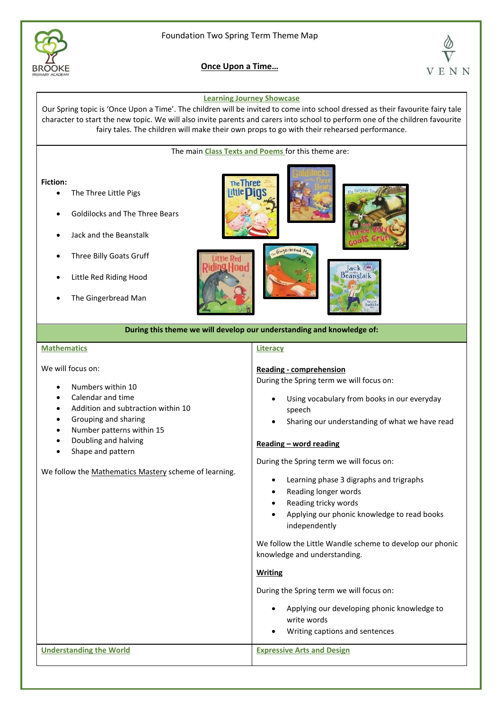

**Once Upon a Time…**



### **Learning Journey Showcase**

Our Spring topic is 'Once Upon a Time'. The children will be invited to come into school dressed as their favourite fairy tale character to start the new topic. We will also invite parents and carers into school to perform one of the children favourite fairy tales. The children will make their own props to go with their rehearsed performance.

The main **Class Texts and Poems** for this theme are:

**Fiction:**

- The Three Little Pigs
- Goldilocks and The Three Bears
- Jack and the Beanstalk
- Three Billy Goats Gruff
- Little Red Riding Hood
- The Gingerbread Man



**During this theme we will develop our understanding and knowledge of:** 

## **Mathematics**

We will focus on:

- Numbers within 10
- Calendar and time
- Addition and subtraction within 10
- Grouping and sharing
- Number patterns within 15
- Doubling and halving
- Shape and pattern

We follow the Mathematics Mastery scheme of learning.

## **Literacy**

## **Reading - comprehension**

During the Spring term we will focus on:

- Using vocabulary from books in our everyday speech
- Sharing our understanding of what we have read

#### **Reading – word reading**

During the Spring term we will focus on:

- Learning phase 3 digraphs and trigraphs
- Reading longer words
- Reading tricky words
- Applying our phonic knowledge to read books independently

We follow the Little Wandle scheme to develop our phonic knowledge and understanding.

#### **Writing**

During the Spring term we will focus on:

- Applying our developing phonic knowledge to write words
- Writing captions and sentences

**Understanding the World Expressive Arts and Design**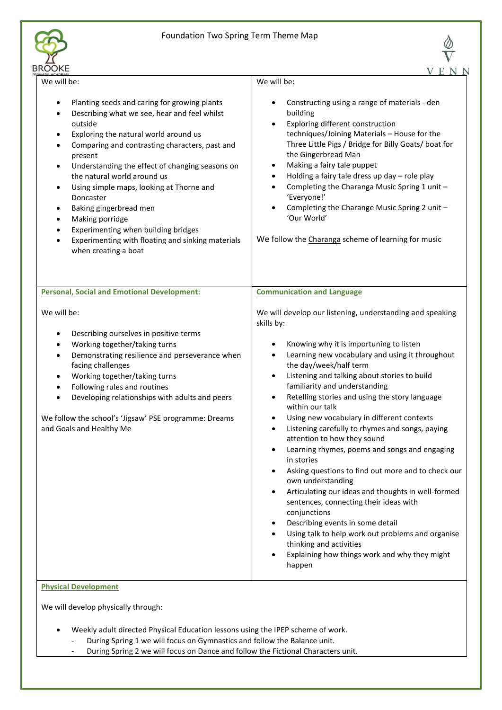



| <b>IROOKE</b>                                                                                                                                                                                                                                                                                                                                                                                                                                                                                                                                                      | E<br>N                                                                                                                                                                                                                                                                                                                                                                                                                                                                                                                                                                                                                                                                                                                                                                                                                                                                                                                                      |
|--------------------------------------------------------------------------------------------------------------------------------------------------------------------------------------------------------------------------------------------------------------------------------------------------------------------------------------------------------------------------------------------------------------------------------------------------------------------------------------------------------------------------------------------------------------------|---------------------------------------------------------------------------------------------------------------------------------------------------------------------------------------------------------------------------------------------------------------------------------------------------------------------------------------------------------------------------------------------------------------------------------------------------------------------------------------------------------------------------------------------------------------------------------------------------------------------------------------------------------------------------------------------------------------------------------------------------------------------------------------------------------------------------------------------------------------------------------------------------------------------------------------------|
| We will be:                                                                                                                                                                                                                                                                                                                                                                                                                                                                                                                                                        | We will be:                                                                                                                                                                                                                                                                                                                                                                                                                                                                                                                                                                                                                                                                                                                                                                                                                                                                                                                                 |
| Planting seeds and caring for growing plants<br>Describing what we see, hear and feel whilst<br>outside<br>Exploring the natural world around us<br>$\bullet$<br>Comparing and contrasting characters, past and<br>present<br>Understanding the effect of changing seasons on<br>$\bullet$<br>the natural world around us<br>Using simple maps, looking at Thorne and<br>٠<br>Doncaster<br>Baking gingerbread men<br>٠<br>Making porridge<br>٠<br>Experimenting when building bridges<br>Experimenting with floating and sinking materials<br>when creating a boat | Constructing using a range of materials - den<br>building<br>Exploring different construction<br>$\bullet$<br>techniques/Joining Materials - House for the<br>Three Little Pigs / Bridge for Billy Goats/ boat for<br>the Gingerbread Man<br>Making a fairy tale puppet<br>Holding a fairy tale dress up day - role play<br>Completing the Charanga Music Spring 1 unit -<br>'Everyone!'<br>Completing the Charange Music Spring 2 unit -<br>'Our World'<br>We follow the Charanga scheme of learning for music                                                                                                                                                                                                                                                                                                                                                                                                                             |
| <b>Personal, Social and Emotional Development:</b>                                                                                                                                                                                                                                                                                                                                                                                                                                                                                                                 | <b>Communication and Language</b>                                                                                                                                                                                                                                                                                                                                                                                                                                                                                                                                                                                                                                                                                                                                                                                                                                                                                                           |
| We will be:<br>Describing ourselves in positive terms<br>Working together/taking turns<br>Demonstrating resilience and perseverance when<br>facing challenges<br>Working together/taking turns<br>$\bullet$<br>Following rules and routines<br>٠<br>Developing relationships with adults and peers<br>We follow the school's 'Jigsaw' PSE programme: Dreams<br>and Goals and Healthy Me<br><b>Physical Development</b>                                                                                                                                             | We will develop our listening, understanding and speaking<br>skills by:<br>Knowing why it is importuning to listen<br>Learning new vocabulary and using it throughout<br>the day/week/half term<br>Listening and talking about stories to build<br>$\bullet$<br>familiarity and understanding<br>Retelling stories and using the story language<br>within our talk<br>Using new vocabulary in different contexts<br>Listening carefully to rhymes and songs, paying<br>attention to how they sound<br>Learning rhymes, poems and songs and engaging<br>in stories<br>Asking questions to find out more and to check our<br>own understanding<br>Articulating our ideas and thoughts in well-formed<br>sentences, connecting their ideas with<br>conjunctions<br>Describing events in some detail<br>Using talk to help work out problems and organise<br>thinking and activities<br>Explaining how things work and why they might<br>happen |

We will develop physically through:

- Weekly adult directed Physical Education lessons using the IPEP scheme of work.
	- During Spring 1 we will focus on Gymnastics and follow the Balance unit.
	- During Spring 2 we will focus on Dance and follow the Fictional Characters unit.